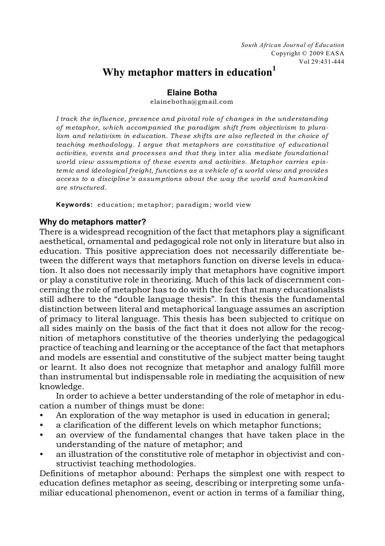*South African Journal of Education* Copyright © 2009 EASA Vol 29:431-444

# Why metaphor matters in education<sup>1</sup>

# **Elaine Botha**

elainebotha@gmail.com

*I track the influence, presence and pivotal role of changes in the understanding of metaphor, which accompanied the paradigm shift from objectivism to pluralism and relativism in education. These shifts are also reflected in the choice of teaching methodology. I argue that metaphors are constitutive of educational activities, events and processes and that they* inter alia *mediate foundational world view assumptions of these events and activities. Metaphor carries epistemic and ideological freight, functions as a vehicle of a world view and provides access to a discipline's assumptions about the way the world and humankind are structured.* 

**Keywords:** education; metaphor; paradigm; world view

# **Why do metaphors matter?**

There is a widespread recognition of the fact that metaphors play a significant aesthetical, ornamental and pedagogical role not only in literature but also in education. This positive appreciation does not necessarily differentiate between the different ways that metaphors function on diverse levels in education. It also does not necessarily imply that metaphors have cognitive import or play a constitutive role in theorizing. Much of this lack of discernment concerning the role of metaphor has to do with the fact that many educationalists still adhere to the "double language thesis". In this thesis the fundamental distinction between literal and metaphorical language assumes an ascription of primacy to literal language. This thesis has been subjected to critique on all sides mainly on the basis of the fact that it does not allow for the recognition of metaphors constitutive of the theories underlying the pedagogical practice of teaching and learning or the acceptance of the fact that metaphors and models are essential and constitutive of the subject matter being taught or learnt. It also does not recognize that metaphor and analogy fulfill more than instrumental but indispensable role in mediating the acquisition of new knowledge.

In order to achieve a better understanding of the role of metaphor in education a number of things must be done:

- An exploration of the way metaphor is used in education in general;
- a clarification of the different levels on which metaphor functions;
- an overview of the fundamental changes that have taken place in the understanding of the nature of metaphor; and
- an illustration of the constitutive role of metaphor in objectivist and constructivist teaching methodologies.

Definitions of metaphor abound: Perhaps the simplest one with respect to education defines metaphor as seeing, describing or interpreting some unfamiliar educational phenomenon, event or action in terms of a familiar thing,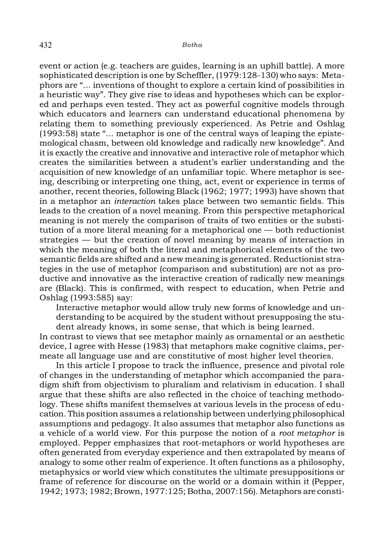event or action (e.g. teachers are guides, learning is an uphill battle). A more sophisticated description is one by Scheffler, (1979:128-130) who says: Metaphors are "... inventions of thought to explore a certain kind of possibilities in a heuristic way". They give rise to ideas and hypotheses which can be explored and perhaps even tested. They act as powerful cognitive models through which educators and learners can understand educational phenomena by relating them to something previously experienced. As Petrie and Oshlag (1993:58) state "... metaphor is one of the central ways of leaping the epistemological chasm, between old knowledge and radically new knowledge". And it is exactly the creative and innovative and interactive role of metaphor which creates the similarities between a student's earlier understanding and the acquisition of new knowledge of an unfamiliar topic. Where metaphor is seeing, describing or interpreting one thing, act, event or experience in terms of another, recent theories, following Black (1962; 1977; 1993) have shown that in a metaphor an *interaction* takes place between two semantic fields. This leads to the creation of a novel meaning. From this perspective metaphorical meaning is not merely the comparison of traits of two entities or the substitution of a more literal meaning for a metaphorical one — both reductionist strategies — but the creation of novel meaning by means of interaction in which the meaning of both the literal and metaphorical elements of the two semantic fields are shifted and a new meaning is generated. Reductionist strategies in the use of metaphor (comparison and substitution) are not as productive and innovative as the interactive creation of radically new meanings are (Black). This is confirmed, with respect to education, when Petrie and Oshlag (1993:585) say:

Interactive metaphor would allow truly new forms of knowledge and understanding to be acquired by the student without presupposing the stu-

dent already knows, in some sense, that which is being learned. In contrast to views that see metaphor mainly as ornamental or an aesthetic device, I agree with Hesse (1983) that metaphors make cognitive claims, permeate all language use and are constitutive of most higher level theories.

In this article I propose to track the influence, presence and pivotal role of changes in the understanding of metaphor which accompanied the paradigm shift from objectivism to pluralism and relativism in education. I shall argue that these shifts are also reflected in the choice of teaching methodology. These shifts manifest themselves at various levels in the process of education. This position assumes a relationship between underlying philosophical assumptions and pedagogy. It also assumes that metaphor also functions as a vehicle of a world view. For this purpose the notion of a *root metaphor* is employed. Pepper emphasizes that root-metaphors or world hypotheses are often generated from everyday experience and then extrapolated by means of analogy to some other realm of experience. It often functions as a philosophy, metaphysics or world view which constitutes the ultimate presuppositions or frame of reference for discourse on the world or a domain within it (Pepper, 1942; 1973; 1982; Brown, 1977:125; Botha, 2007:156). Metaphors are consti-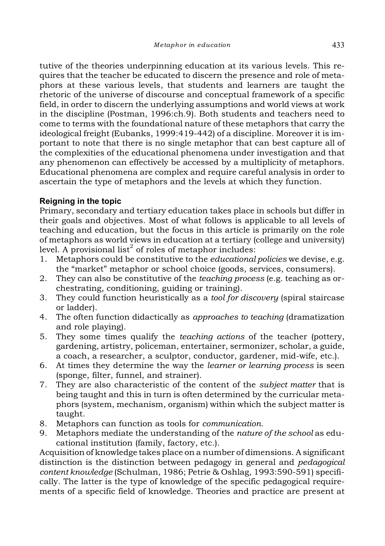tutive of the theories underpinning education at its various levels. This requires that the teacher be educated to discern the presence and role of metaphors at these various levels, that students and learners are taught the rhetoric of the universe of discourse and conceptual framework of a specific field, in order to discern the underlying assumptions and world views at work in the discipline (Postman, 1996:ch.9). Both students and teachers need to come to terms with the foundational nature of these metaphors that carry the ideological freight (Eubanks, 1999:419-442) of a discipline. Moreover it is important to note that there is no single metaphor that can best capture all of the complexities of the educational phenomena under investigation and that any phenomenon can effectively be accessed by a multiplicity of metaphors. Educational phenomena are complex and require careful analysis in order to ascertain the type of metaphors and the levels at which they function.

# **Reigning in the topic**

Primary, secondary and tertiary education takes place in schools but differ in their goals and objectives. Most of what follows is applicable to all levels of teaching and education, but the focus in this article is primarily on the role of metaphors as world views in education at a tertiary (college and university) level. A provisional list<sup>2</sup> of roles of metaphor includes:

- 1. Metaphors could be constitutive to the *educational policies* we devise, e.g. the "market" metaphor or school choice (goods, services, consumers).
- 2. They can also be constitutive of the *teaching process* (e.g. teaching as orchestrating, conditioning, guiding or training).
- 3. They could function heuristically as a *tool for discovery* (spiral staircase or ladder).
- 4. The often function didactically as *approaches to teaching* (dramatization and role playing).
- 5. They some times qualify the *teaching actions* of the teacher (pottery, gardening, artistry, policeman, entertainer, sermonizer, scholar, a guide, a coach, a researcher, a sculptor, conductor, gardener, mid-wife, etc.).
- 6. At times they determine the way the *learner or learning process* is seen (sponge, filter, funnel, and strainer).
- 7. They are also characteristic of the content of the *subject matter* that is being taught and this in turn is often determined by the curricular metaphors (system, mechanism, organism) within which the subject matter is taught.
- 8. Metaphors can function as tools for *communication*.
- 9. Metaphors mediate the understanding of the *nature of the school* as educational institution (family, factory, etc.).

Acquisition of knowledge takes place on a number of dimensions. A significant distinction is the distinction between pedagogy in general and *pedagogical content knowledge* (Schulman, 1986; Petrie & Oshlag, 1993:590-591) specifically. The latter is the type of knowledge of the specific pedagogical requirements of a specific field of knowledge. Theories and practice are present at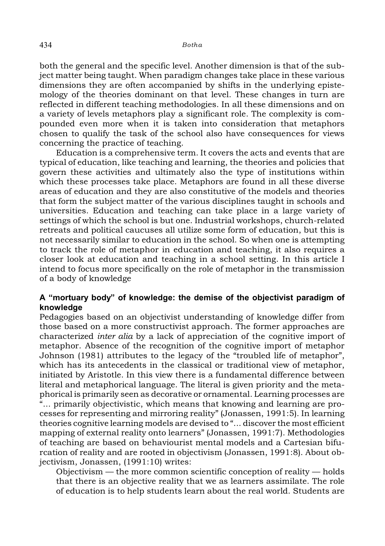both the general and the specific level. Another dimension is that of the subject matter being taught. When paradigm changes take place in these various dimensions they are often accompanied by shifts in the underlying epistemology of the theories dominant on that level. These changes in turn are reflected in different teaching methodologies. In all these dimensions and on a variety of levels metaphors play a significant role. The complexity is compounded even more when it is taken into consideration that metaphors chosen to qualify the task of the school also have consequences for views concerning the practice of teaching.

Education is a comprehensive term. It covers the acts and events that are typical of education, like teaching and learning, the theories and policies that govern these activities and ultimately also the type of institutions within which these processes take place. Metaphors are found in all these diverse areas of education and they are also constitutive of the models and theories that form the subject matter of the various disciplines taught in schools and universities. Education and teaching can take place in a large variety of settings of which the school is but one. Industrial workshops, church-related retreats and political caucuses all utilize some form of education, but this is not necessarily similar to education in the school. So when one is attempting to track the role of metaphor in education and teaching, it also requires a closer look at education and teaching in a school setting. In this article I intend to focus more specifically on the role of metaphor in the transmission of a body of knowledge

# **A "mortuary body" of knowledge: the demise of the objectivist paradigm of knowledge**

Pedagogies based on an objectivist understanding of knowledge differ from those based on a more constructivist approach. The former approaches are characterized *inter alia* by a lack of appreciation of the cognitive import of metaphor. Absence of the recognition of the cognitive import of metaphor Johnson (1981) attributes to the legacy of the "troubled life of metaphor", which has its antecedents in the classical or traditional view of metaphor, initiated by Aristotle. In this view there is a fundamental difference between literal and metaphorical language. The literal is given priority and the metaphorical is primarily seen as decorative or ornamental. Learning processes are "... primarily objectivistic, which means that knowing and learning are processes for representing and mirroring reality" (Jonassen, 1991:5). In learning theories cognitive learning models are devised to "... discover the most efficient mapping of external reality onto learners" (Jonassen, 1991:7). Methodologies of teaching are based on behaviourist mental models and a Cartesian bifurcation of reality and are rooted in objectivism (Jonassen, 1991:8). About objectivism, Jonassen, (1991:10) writes:

Objectivism — the more common scientific conception of reality — holds that there is an objective reality that we as learners assimilate. The role of education is to help students learn about the real world. Students are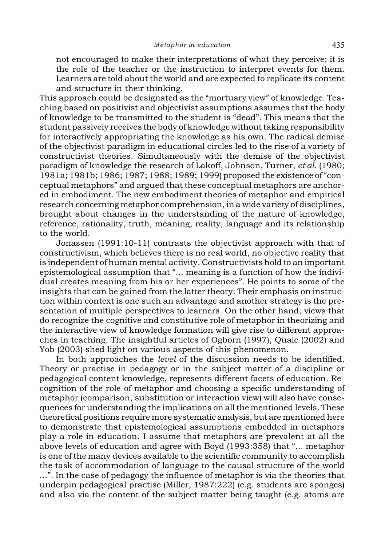not encouraged to make their interpretations of what they perceive; it is the role of the teacher or the instruction to interpret events for them. Learners are told about the world and are expected to replicate its content and structure in their thinking.

This approach could be designated as the "mortuary view" of knowledge. Teaching based on positivist and objectivist assumptions assumes that the body of knowledge to be transmitted to the student is "dead". This means that the student passively receives the body of knowledge without taking responsibility for interactively appropriating the knowledge as his own. The radical demise of the objectivist paradigm in educational circles led to the rise of a variety of constructivist theories. Simultaneously with the demise of the objectivist paradigm of knowledge the research of Lakoff, Johnson, Turner, *et al*. (1980; 1981a; 1981b; 1986; 1987; 1988; 1989; 1999) proposed the existence of "conceptual metaphors" and argued that these conceptual metaphors are anchored in embodiment. The new embodiment theories of metaphor and empirical research concerning metaphor comprehension, in a wide variety of disciplines, brought about changes in the understanding of the nature of knowledge, reference, rationality, truth, meaning, reality, language and its relationship to the world.

Jonassen (1991:10-11) contrasts the objectivist approach with that of constructivism, which believes there is no real world, no objective reality that is independent of human mental activity. Constructivists hold to an important epistemological assumption that "... meaning is a function of how the individual creates meaning from his or her experiences". He points to some of the insights that can be gained from the latter theory. Their emphasis on instruction within context is one such an advantage and another strategy is the presentation of multiple perspectives to learners. On the other hand, views that do recognize the cognitive and constitutive role of metaphor in theorizing and the interactive view of knowledge formation will give rise to different approaches in teaching. The insightful articles of Ogborn (1997), Quale (2002) and Yob (2003) shed light on various aspects of this phenomenon.

In both approaches the *level* of the discussion needs to be identified. Theory or practise in pedagogy or in the subject matter of a discipline or pedagogical content knowledge, represents different facets of education. Recognition of the role of metaphor and choosing a specific understanding of metaphor (comparison, substitution or interaction view) will also have consequences for understanding the implications on allthe mentioned levels. These theoretical positions require more systematic analysis, but are mentioned here to demonstrate that epistemological assumptions embedded in metaphors play a role in education. I assume that metaphors are prevalent at all the above levels of education and agree with Boyd (1993:358) that "... metaphor is one of the many devices available to the scientific community to accomplish the task of accommodation of language to the causal structure of the world ...". In the case of pedagogy the influence of metaphor is via the theories that underpin pedagogical practise (Miller, 1987:222) (e.g. students are sponges) and also via the content of the subject matter being taught (e.g. atoms are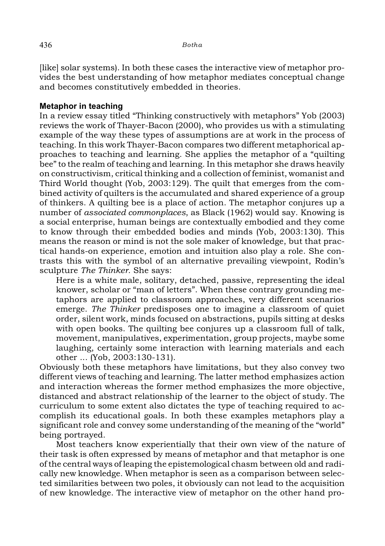[like] solar systems). In both these cases the interactive view of metaphor provides the best understanding of how metaphor mediates conceptual change and becomes constitutively embedded in theories.

# **Metaphor in teaching**

In a review essay titled "Thinking constructively with metaphors" Yob (2003) reviews the work of Thayer-Bacon (2000), who provides us with a stimulating example of the way these types of assumptions are at work in the process of teaching. In this work Thayer-Bacon compares two different metaphorical approaches to teaching and learning. She applies the metaphor of a "quilting bee" to the realm of teaching and learning. In this metaphor she draws heavily on constructivism, critical thinking and a collection of feminist, womanist and Third World thought (Yob, 2003:129). The quilt that emerges from the combined activity of quilters is the accumulated and shared experience of a group of thinkers. A quilting bee is a place of action. The metaphor conjures up a number of *associated commonplaces*, as Black (1962) would say. Knowing is a social enterprise, human beings are contextually embodied and they come to know through their embedded bodies and minds (Yob, 2003:130). This means the reason or mind is not the sole maker of knowledge, but that practical hands-on experience, emotion and intuition also play a role. She contrasts this with the symbol of an alternative prevailing viewpoint, Rodin's sculpture *The Thinker*. She says:

Here is a white male, solitary, detached, passive, representing the ideal knower, scholar or "man of letters". When these contrary grounding metaphors are applied to classroom approaches, very different scenarios emerge. *The Thinker* predisposes one to imagine a classroom of quiet order, silent work, minds focused on abstractions, pupils sitting at desks with open books. The quilting bee conjures up a classroom full of talk, movement, manipulatives, experimentation, group projects, maybe some laughing, certainly some interaction with learning materials and each other ... (Yob, 2003:130-131).

Obviously both these metaphors have limitations, but they also convey two different views of teaching and learning. The latter method emphasizes action and interaction whereas the former method emphasizes the more objective, distanced and abstract relationship of the learner to the object of study. The curriculum to some extent also dictates the type of teaching required to accomplish its educational goals. In both these examples metaphors play a significant role and convey some understanding of the meaning of the "world" being portrayed.

Most teachers know experientially that their own view of the nature of their task is often expressed by means of metaphor and that metaphor is one of the central ways of leaping the epistemological chasm between old and radically new knowledge. When metaphor is seen as a comparison between selected similarities between two poles, it obviously can not lead to the acquisition of new knowledge. The interactive view of metaphor on the other hand pro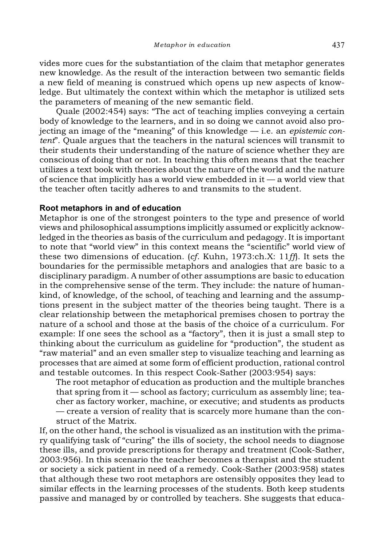vides more cues for the substantiation of the claim that metaphor generates new knowledge. As the result of the interaction between two semantic fields a new field of meaning is construed which opens up new aspects of knowledge. But ultimately the context within which the metaphor is utilized sets the parameters of meaning of the new semantic field.

Quale (2002:454) says: "The act of teaching implies conveying a certain body of knowledge to the learners, and in so doing we cannot avoid also projecting an image of the "meaning" of this knowledge — i.e. an *epistemic content*". Quale argues that the teachers in the natural sciences will transmit to their students their understanding of the nature of science whether they are conscious of doing that or not. In teaching this often means that the teacher utilizes a text book with theories about the nature of the world and the nature of science that implicitly has a world view embedded in it — a world view that the teacher often tacitly adheres to and transmits to the student.

## **Root metaphors in and of education**

Metaphor is one of the strongest pointers to the type and presence of world views and philosophical assumptions implicitly assumed or explicitly acknowledged in the theories as basis of the curriculum and pedagogy. It is important to note that "world view" in this context means the "scientific" world view of these two dimensions of education. (*cf*. Kuhn, 1973:ch.X: 11*ff*). It sets the boundaries for the permissible metaphors and analogies that are basic to a disciplinary paradigm. A number of other assumptions are basic to education in the comprehensive sense of the term. They include: the nature of humankind, of knowledge, of the school, of teaching and learning and the assumptions present in the subject matter of the theories being taught. There is a clear relationship between the metaphorical premises chosen to portray the nature of a school and those at the basis of the choice of a curriculum. For example: If one sees the school as a "factory", then it is just a small step to thinking about the curriculum as guideline for "production", the student as "raw material" and an even smaller step to visualize teaching and learning as processes that are aimed at some form of efficient production, rational control and testable outcomes. In this respect Cook-Sather (2003:954) says:

The root metaphor of education as production and the multiple branches that spring from it — school as factory; curriculum as assembly line; teacher as factory worker, machine, or executive; and students as products — create a version of reality that is scarcely more humane than the construct of the Matrix.

If, on the other hand, the school is visualized as an institution with the primary qualifying task of "curing" the ills of society, the school needs to diagnose these ills, and provide prescriptions for therapy and treatment (Cook-Sather, 2003:956). In this scenario the teacher becomes a therapist and the student or society a sick patient in need of a remedy. Cook-Sather (2003:958) states that although these two root metaphors are ostensibly opposites they lead to similar effects in the learning processes of the students. Both keep students passive and managed by or controlled by teachers. She suggests that educa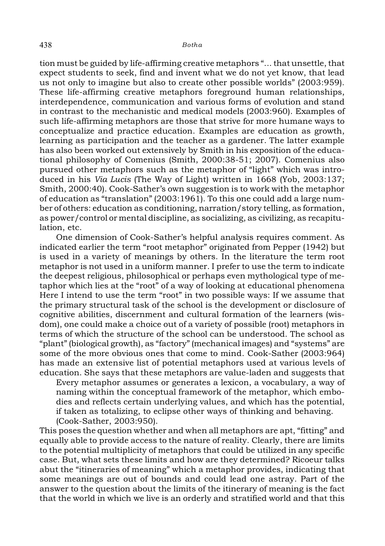tion must be guided by life-affirming creative metaphors "... that unsettle, that expect students to seek, find and invent what we do not yet know, that lead us not only to imagine but also to create other possible worlds" (2003:959). These life-affirming creative metaphors foreground human relationships, interdependence, communication and various forms of evolution and stand in contrast to the mechanistic and medical models (2003:960). Examples of such life-affirming metaphors are those that strive for more humane ways to conceptualize and practice education. Examples are education as growth, learning as participation and the teacher as a gardener. The latter example has also been worked out extensively by Smith in his exposition of the educational philosophy of Comenius (Smith, 2000:38-51; 2007). Comenius also pursued other metaphors such as the metaphor of "light" which was introduced in his *Via Lucis* (The Way of Light) written in 1668 (Yob, 2003:137; Smith, 2000:40). Cook-Sather's own suggestion is to work with the metaphor of education as "translation" (2003:1961). To this one could add a large number of others: education as conditioning, narration/story telling, as formation, as power/control or mental discipline, as socializing, as civilizing, as recapitulation, etc.

One dimension of Cook-Sather's helpful analysis requires comment. As indicated earlier the term "root metaphor" originated from Pepper (1942) but is used in a variety of meanings by others. In the literature the term root metaphor is not used in a uniform manner. I prefer to use the term to indicate the deepest religious, philosophical or perhaps even mythological type of metaphor which lies at the "root" of a way of looking at educational phenomena Here I intend to use the term "root" in two possible ways: If we assume that the primary structural task of the school is the development or disclosure of cognitive abilities, discernment and cultural formation of the learners (wisdom), one could make a choice out of a variety of possible (root) metaphors in terms of which the structure of the school can be understood. The school as "plant" (biological growth), as "factory" (mechanical images) and "systems" are some of the more obvious ones that come to mind. Cook-Sather (2003:964) has made an extensive list of potential metaphors used at various levels of education. She says that these metaphors are value-laden and suggests that

Every metaphor assumes or generates a lexicon, a vocabulary, a way of naming within the conceptual framework of the metaphor, which embodies and reflects certain underlying values, and which has the potential, if taken as totalizing, to eclipse other ways of thinking and behaving. (Cook-Sather, 2003:950).

This poses the question whether and when all metaphors are apt, "fitting" and equally able to provide access to the nature of reality. Clearly, there are limits to the potential multiplicity of metaphors that could be utilized in any specific case. But, what sets these limits and how are they determined? Ricoeur talks abut the "itineraries of meaning" which a metaphor provides, indicating that some meanings are out of bounds and could lead one astray. Part of the answer to the question about the limits of the itinerary of meaning is the fact that the world in which we live is an orderly and stratified world and that this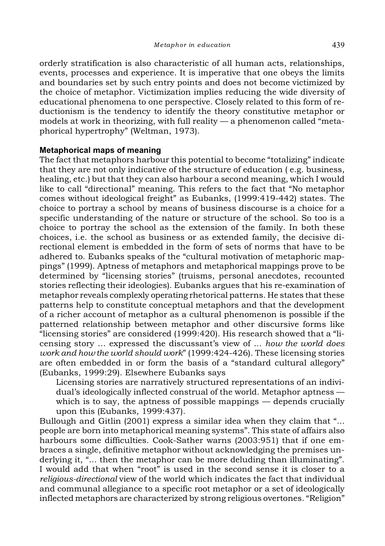orderly stratification is also characteristic of all human acts, relationships, events, processes and experience. It is imperative that one obeys the limits and boundaries set by such entry points and does not become victimized by the choice of metaphor. Victimization implies reducing the wide diversity of educational phenomena to one perspective. Closely related to this form of reductionism is the tendency to identify the theory constitutive metaphor or models at work in theorizing, with full reality — a phenomenon called "metaphorical hypertrophy" (Weltman, 1973).

# **Metaphorical maps of meaning**

The fact that metaphors harbour this potential to become "totalizing" indicate that they are not only indicative of the structure of education ( e.g. business, healing, etc.) but that they can also harbour a second meaning, which I would like to call "directional" meaning. This refers to the fact that "No metaphor comes without ideological freight" as Eubanks, (1999:419-442) states. The choice to portray a school by means of business discourse is a choice for a specific understanding of the nature or structure of the school. So too is a choice to portray the school as the extension of the family. In both these choices, i.e. the school as business or as extended family, the decisive directional element is embedded in the form of sets of norms that have to be adhered to. Eubanks speaks of the "cultural motivation of metaphoric mappings" (1999). Aptness of metaphors and metaphorical mappings prove to be determined by "licensing stories" (truisms, personal anecdotes, recounted stories reflecting their ideologies). Eubanks argues that his re-examination of metaphor reveals complexly operating rhetorical patterns. He states that these patterns help to constitute conceptual metaphors and that the development of a richer account of metaphor as a cultural phenomenon is possible if the patterned relationship between metaphor and other discursive forms like "licensing stories" are considered (1999:420). His research showed that a "licensing story … expressed the discussant's view of ... *how the world does work and how the world should work*" (1999:424-426). These licensing stories are often embedded in or form the basis of a "standard cultural allegory" (Eubanks, 1999:29). Elsewhere Eubanks says

Licensing stories are narratively structured representations of an individual's ideologically inflected construal of the world. Metaphor aptness which is to say, the aptness of possible mappings — depends crucially upon this (Eubanks, 1999:437).

Bullough and Gitlin (2001) express a similar idea when they claim that "... people are born into metaphorical meaning systems". This state of affairs also harbours some difficulties. Cook-Sather warns (2003:951) that if one embraces a single, definitive metaphor without acknowledging the premises underlying it, "... then the metaphor can be more deluding than illuminating". I would add that when "root" is used in the second sense it is closer to a *religious-directional* view of the world which indicates the fact that individual and communal allegiance to a specific root metaphor or a set of ideologically inflected metaphors are characterized by strong religious overtones. "Religion"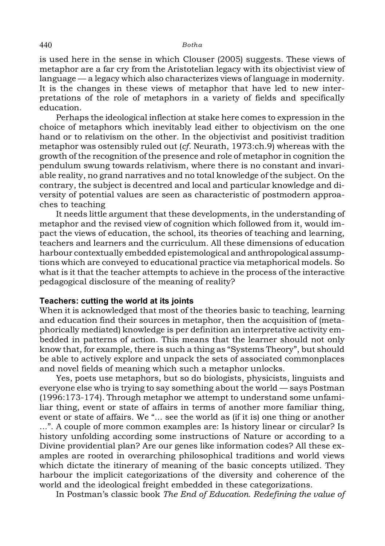is used here in the sense in which Clouser (2005) suggests. These views of metaphor are a far cry from the Aristotelian legacy with its objectivist view of language — a legacy which also characterizes views of language in modernity. It is the changes in these views of metaphor that have led to new interpretations of the role of metaphors in a variety of fields and specifically education.

Perhaps the ideological inflection at stake here comes to expression in the choice of metaphors which inevitably lead either to objectivism on the one hand or to relativism on the other. In the objectivist and positivist tradition metaphor was ostensibly ruled out (*cf*. Neurath, 1973:ch.9) whereas with the growth of the recognition of the presence and role of metaphor in cognition the pendulum swung towards relativism, where there is no constant and invariable reality, no grand narratives and no total knowledge of the subject. On the contrary, the subject is decentred and local and particular knowledge and diversity of potential values are seen as characteristic of postmodern approaches to teaching

It needs little argument that these developments, in the understanding of metaphor and the revised view of cognition which followed from it, would impact the views of education, the school, its theories of teaching and learning, teachers and learners and the curriculum. All these dimensions of education harbour contextually embedded epistemological and anthropological assumptions which are conveyed to educational practice via metaphorical models. So what is it that the teacher attempts to achieve in the process of the interactive pedagogical disclosure of the meaning of reality?

## **Teachers: cutting the world at its joints**

When it is acknowledged that most of the theories basic to teaching, learning and education find their sources in metaphor, then the acquisition of (metaphorically mediated) knowledge is per definition an interpretative activity embedded in patterns of action. This means that the learner should not only know that, for example, there is such a thing as "Systems Theory", but should be able to actively explore and unpack the sets of associated commonplaces and novel fields of meaning which such a metaphor unlocks.

Yes, poets use metaphors, but so do biologists, physicists, linguists and everyone else who is trying to say something about the world — says Postman (1996:173-174). Through metaphor we attempt to understand some unfamiliar thing, event or state of affairs in terms of another more familiar thing, event or state of affairs. We "... see the world as (if it is) one thing or another ...". A couple of more common examples are: Is history linear or circular? Is history unfolding according some instructions of Nature or according to a Divine providential plan? Are our genes like information codes? All these examples are rooted in overarching philosophical traditions and world views which dictate the itinerary of meaning of the basic concepts utilized. They harbour the implicit categorizations of the diversity and coherence of the world and the ideological freight embedded in these categorizations.

In Postman's classic book *The End of Education. Redefining the value of*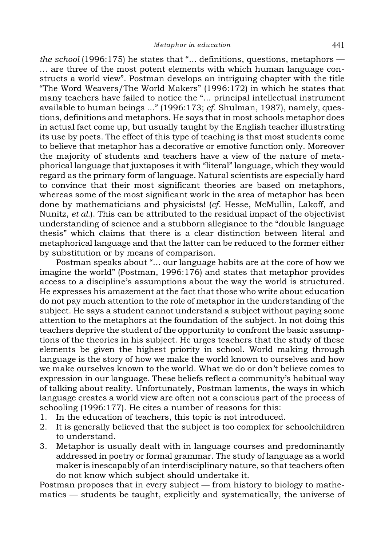*the school* (1996:175) he states that "... definitions, questions, metaphors — ... are three of the most potent elements with which human language constructs a world view". Postman develops an intriguing chapter with the title "The Word Weavers/The World Makers" (1996:172) in which he states that many teachers have failed to notice the "... principal intellectual instrument available to human beings ..." (1996:173; *cf*. Shulman, 1987), namely, questions, definitions and metaphors. He says that in most schools metaphor does in actual fact come up, but usually taught by the English teacher illustrating its use by poets. The effect of this type of teaching is that most students come to believe that metaphor has a decorative or emotive function only. Moreover the majority of students and teachers have a view of the nature of metaphorical language that juxtaposes it with "literal" language, which they would regard as the primary form of language. Natural scientists are especially hard to convince that their most significant theories are based on metaphors, whereas some of the most significant work in the area of metaphor has been done by mathematicians and physicists! (*cf*. Hesse, McMullin, Lakoff, and Nunitz, *et al.*). This can be attributed to the residual impact of the objectivist understanding of science and a stubborn allegiance to the "double language thesis" which claims that there is a clear distinction between literal and metaphorical language and that the latter can be reduced to the former either by substitution or by means of comparison.

Postman speaks about "... our language habits are at the core of how we imagine the world" (Postman, 1996:176) and states that metaphor provides access to a discipline's assumptions about the way the world is structured. He expresses his amazement at the fact that those who write about education do not pay much attention to the role of metaphor in the understanding of the subject. He says a student cannot understand a subject without paying some attention to the metaphors at the foundation of the subject. In not doing this teachers deprive the student of the opportunity to confront the basic assumptions of the theories in his subject. He urges teachers that the study of these elements be given the highest priority in school. World making through language is the story of how we make the world known to ourselves and how we make ourselves known to the world. What we do or don't believe comes to expression in our language. These beliefs reflect a community's habitual way of talking about reality. Unfortunately, Postman laments, the ways in which language creates a world view are often not a conscious part of the process of schooling (1996:177). He cites a number of reasons for this:

- 1. In the education of teachers, this topic is not introduced.
- 2. It is generally believed that the subject is too complex for schoolchildren to understand.
- 3. Metaphor is usually dealt with in language courses and predominantly addressed in poetry or formal grammar. The study of language as a world maker is inescapably of an interdisciplinary nature, so that teachers often do not know which subject should undertake it.

Postman proposes that in every subject — from history to biology to mathematics — students be taught, explicitly and systematically, the universe of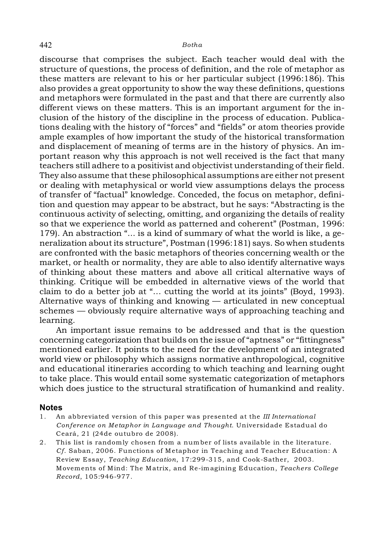discourse that comprises the subject. Each teacher would deal with the structure of questions, the process of definition, and the role of metaphor as these matters are relevant to his or her particular subject (1996:186). This also provides a great opportunity to show the way these definitions, questions and metaphors were formulated in the past and that there are currently also different views on these matters. This is an important argument for the inclusion of the history of the discipline in the process of education. Publications dealing with the history of "forces" and "fields" or atom theories provide ample examples of how important the study of the historical transformation and displacement of meaning of terms are in the history of physics. An important reason why this approach is not well received is the fact that many teachers still adhere to a positivist and objectivist understanding of their field. They also assume that these philosophical assumptions are either not present or dealing with metaphysical or world view assumptions delays the process of transfer of "factual" knowledge. Conceded, the focus on metaphor, definition and question may appear to be abstract, but he says: "Abstracting is the continuous activity of selecting, omitting, and organizing the details of reality so that we experience the world as patterned and coherent" (Postman, 1996: 179). An abstraction "... is a kind of summary of what the world is like, a generalization about its structure", Postman (1996:181) says. So when students are confronted with the basic metaphors of theories concerning wealth or the market, or health or normality, they are able to also identify alternative ways of thinking about these matters and above all critical alternative ways of thinking. Critique will be embedded in alternative views of the world that claim to do a better job at "... cutting the world at its joints" (Boyd, 1993). Alternative ways of thinking and knowing — articulated in new conceptual schemes — obviously require alternative ways of approaching teaching and learning.

An important issue remains to be addressed and that is the question concerning categorization that builds on the issue of "aptness" or "fittingness" mentioned earlier. It points to the need for the development of an integrated world view or philosophy which assigns normative anthropological, cognitive and educational itineraries according to which teaching and learning ought to take place. This would entail some systematic categorization of metaphors which does justice to the structural stratification of humankind and reality.

### **Notes**

- 1. An abbreviated version of this paper was presented at the *III International Conference on Metaphor in Language and Thought*. Universidade Estadual do Ceará, 21 (24de outubro de 2008).
- 2. This list is randomly chosen from a number of lists available in the literature. *Cf*. Saban, 2006. Functions of Metaphor in Teaching and Teacher Education: A Review Essay, *Teaching Education*, 17:299-315, and Cook-Sather, 2003. Movements of Mind: The Matrix, and Re-imagining Education, *Teachers College Record*, 105:946-977.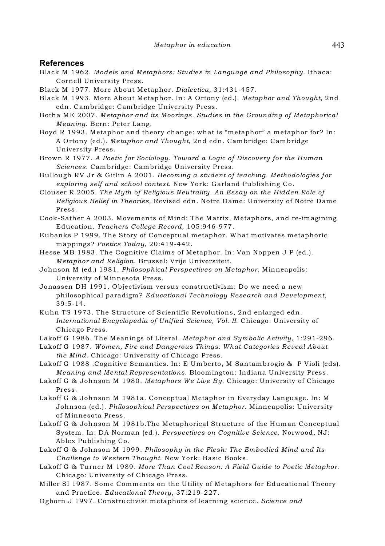## **References**

- Black M 1962. *Models and Metaphors: Studies in Language and Philosophy*. Ithaca: Cornell University Press.
- Black M 1977. More About Metaphor. *Dialectica,* 31:431-457.
- Black M 1993. More About Metaphor. In: A Ortony (ed.). *Metaphor and Thought*, 2nd edn. Cambridge: Cambridge University Press.
- Botha ME 2007. *Metaphor and its Moorings. Studies in the Grounding of Metaphorical Meaning*. Bern: Peter Lang.
- Boyd R 1993. Metaphor and theory change: what is "metaphor" a metaphor for? In: A Ortony (ed.). *Metaphor and Thought*, 2nd edn. Cambridge: Cambridge University Press.
- Brown R 1977. *A Poetic for Sociology. Toward a Logic of Discovery for the Human Sciences*. Cambridge: Cambridge University Press.
- Bullough RV Jr & Gitlin A 2001. *Becoming a student of teaching. Methodologies for exploring self and school context*. New York: Garland Publishing Co.
- Clouser R 2005. *The Myth of Religious Neutrality. An Essay on the Hidden Role of Religious Belief in Theories,* Revised edn. Notre Dame: University of Notre Dame Press.
- Cook-Sather A 2003. Movements of Mind: The Matrix, Metaphors, and re-imagining Education. *Teachers College Record*, 105:946-977.

Eubanks P 1999. The Story of Conceptual metaphor. What motivates metaphoric mappings? *Poetics Today*, 20:419-442.

Hesse MB 1983. The Cognitive Claims of Metaphor. In: Van Noppen J P (ed.). *Metaphor and Religion*. Brussel: Vrije Universiteit.

- Johnson M (ed.) 1981. *Philosophical Perspectives on Metaphor*. Minneapolis: University of Minnesota Press.
- Jonassen DH 1991. Objectivism versus constructivism: Do we need a new philosophical paradigm? *Educational Technology Research and Development*, 39:5-14.
- Kuhn TS 1973. The Structure of Scientific Revolutions, 2nd enlarged edn. *International Encyclopedia of Unified Science, Vol. II*. Chicago: University of Chicago Press.
- Lakoff G 1986. The Meanings of Literal. *Metaphor and Symbolic Activity,* 1:291-296.
- Lakoff G 1987. *Women, Fire and Dangerous Things: What Categories Reveal About the Mind*. Chicago: University of Chicago Press.
- Lakoff G 1988 .Cognitive Semantics. In: E Umberto, M Santambrogio & P Violi (eds). *Meaning and Mental Representations*. Bloomington: Indiana University Press.
- Lakoff G & Johnson M 1980. *Metaphors We Live By*. Chicago: University of Chicago Press.
- Lakoff G & Johnson M 1981a. Conceptual Metaphor in Everyday Language. In: M Johnson (ed.). *Philosophical Perspectives on Metaphor*. Minneapolis: University of Minnesota Press.
- Lakoff G & Johnson M 1981b.The Metaphorical Structure of the Human Conceptual System. In: DA Norman (ed.). *Perspectives on Cognitive Science*. Norwood, NJ: Ablex Publishing Co.
- Lakoff G & Johnson M 1999. *Philosophy in the Flesh: The Embodied Mind and Its Challenge to Western Thought*. New York: Basic Books.
- Lakoff G & Turner M 1989. *More Than Cool Reason: A Field Guide to Poetic Metaphor*. Chicago: University of Chicago Press.
- Miller SI 1987. Some Comments on the Utility of Metaphors for Educational Theory and Practice. *Educational Theory*, 37:219-227.
- Ogborn J 1997. Constructivist metaphors of learning science. *Science and*